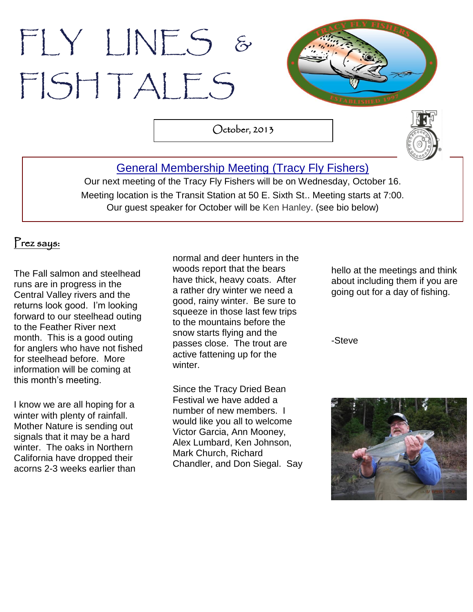# FLY LINES & FISH TALES



October, 2013



# [General Membership Meeting](http://www.tracyflyfishers.org/Home/current-activities) (Tracy Fly Fishers)

Our next meeting of the Tracy Fly Fishers will be on Wednesday, October 16. Meeting location is the Transit Station at 50 E. Sixth St.. Meeting starts at 7:00. Our guest speaker for October will be Ken Hanley. (see bio below)

## Prez says:

The Fall salmon and steelhead runs are in progress in the Central Valley rivers and the returns look good. I'm looking forward to our steelhead outing to the Feather River next month. This is a good outing for anglers who have not fished for steelhead before. More information will be coming at this month's meeting.

I know we are all hoping for a winter with plenty of rainfall. Mother Nature is sending out signals that it may be a hard winter. The oaks in Northern California have dropped their acorns 2-3 weeks earlier than

. woods report that the bears normal and deer hunters in the have thick, heavy coats. After a rather dry winter we need a good, rainy winter. Be sure to squeeze in those last few trips to the mountains before the snow starts flying and the passes close. The trout are active fattening up for the winter.

Since the Tracy Dried Bean Festival we have added a number of new members. I would like you all to welcome Victor Garcia, Ann Mooney, Alex Lumbard, Ken Johnson, Mark Church, Richard Chandler, and Don Siegal. Say

hello at the meetings and think about including them if you are going out for a day of fishing.

-Steve

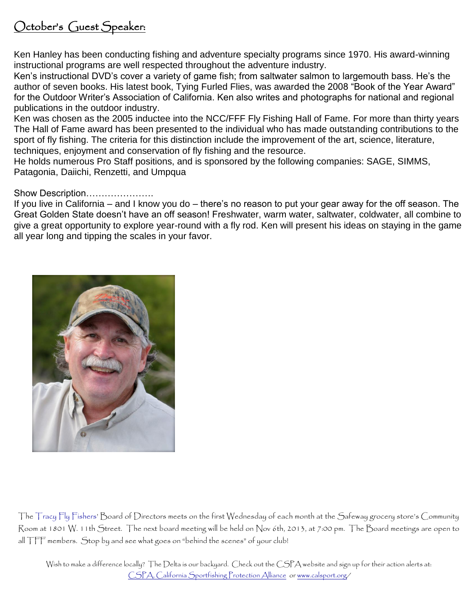# October's Guest Speaker:

Ken Hanley has been conducting fishing and adventure specialty programs since 1970. His award-winning instructional programs are well respected throughout the adventure industry.

Ken's instructional DVD's cover a variety of game fish; from saltwater salmon to largemouth bass. He's the author of seven books. His latest book, Tying Furled Flies, was awarded the 2008 "Book of the Year Award" for the Outdoor Writer's Association of California. Ken also writes and photographs for national and regional publications in the outdoor industry.

Ken was chosen as the 2005 inductee into the NCC/FFF Fly Fishing Hall of Fame. For more than thirty years The Hall of Fame award has been presented to the individual who has made outstanding contributions to the sport of fly fishing. The criteria for this distinction include the improvement of the art, science, literature, techniques, enjoyment and conservation of fly fishing and the resource.

He holds numerous Pro Staff positions, and is sponsored by the following companies: SAGE, SIMMS, Patagonia, Daiichi, Renzetti, and Umpqua

#### Show Description………………….

If you live in California – and I know you do – there's no reason to put your gear away for the off season. The Great Golden State doesn't have an off season! Freshwater, warm water, saltwater, coldwater, all combine to give a great opportunity to explore year-round with a fly rod. Ken will present his ideas on staying in the game all year long and tipping the scales in your favor.



The Tracy Fly Fishers' Board of Directors meets on the first Wednesday of each month at the Safeway grocery store's Community Room at 1801 W. 11th Street. The next board meeting will be held on Nov 6th, 2013, at 7:00 pm. The Board meetings are open to all TFF members. Stop by and see what goes on "behind the scenes" of your club!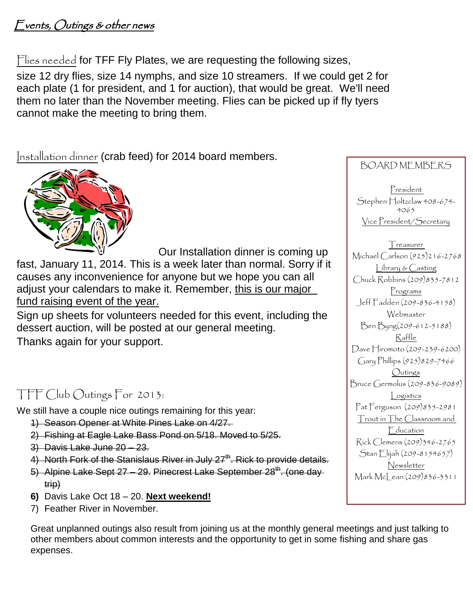# Events, Outings & other news

Flies needed for TFF Fly Plates, we are requesting the following sizes,

size 12 dry flies, size 14 nymphs, and size 10 streamers. If we could get 2 for each plate (1 for president, and 1 for auction), that would be great. We'll need them no later than the November meeting. Flies can be picked up if fly tyers cannot make the meeting to bring them.

Installation dinner (crab feed) for 2014 board members.



 Our Installation dinner is coming up fast, January 11, 2014. This is a week later than normal. Sorry if it causes any inconvenience for anyone but we hope you can all adjust your calendars to make it. Remember, this is our major fund raising event of the year.

Sign up sheets for volunteers needed for this event, including the dessert auction, will be posted at our general meeting. Thanks again for your support.

# TFF Club Outings For 2013:

We still have a couple nice outings remaining for this year:

- 1) Season Opener at White Pines Lake on 4/27.
- 2) Fishing at Eagle Lake Bass Pond on 5/18. Moved to 5/25.
- 3) Davis Lake June 20 23.
- 4) North Fork of the Stanislaus River in July  $27<sup>th</sup>$ . Rick to provide details.
- 5) Alpine Lake Sept  $27 29$ . Pinecrest Lake September  $28^{th}$ . (one day trip)
- **6)** Davis Lake Oct 18 20. **Next weekend!**
- 7) Feather River in November.

Great unplanned outings also result from joining us at the monthly general meetings and just talking to other members about common interests and the opportunity to get in some fishing and share gas expenses.

## BOARD MEMBERS

President Stephen Holtzclaw 408-674-4065 Vice President/Secretary

**T**reasurer Michael Carlson (925)216-2768 Library & Casting Chuck Robbins (209)835-7812 Programs Jeff Fadden (209-836-4158) Webmaster Ben Byng(209-612-5188) Raffle Dave Hiromoto (209-239-6200) Gary Phillips (925)829-7466 Outings Bruce Germolus (209-836-9089) Logistics Pat Ferguson (209)835-2981 Trout in The Classroom and Education Rick Clemens (209)346-2765 Stan Elijah (209-8154657) Newsletter Mark McLean (209)836-3311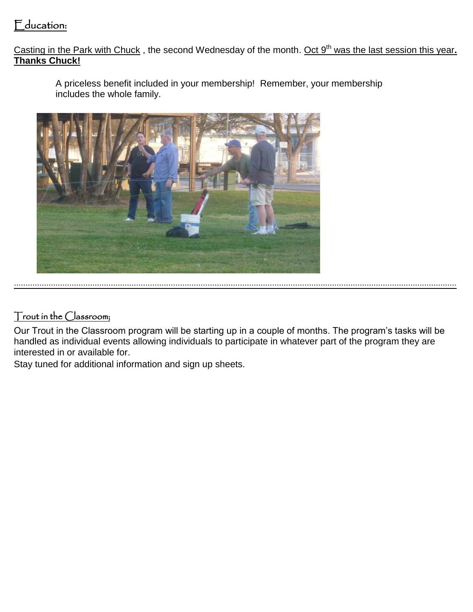## Education:

Casting in the Park with Chuck, the second Wednesday of the month. Oct 9<sup>th</sup> was the last session this year. **Thanks Chuck!**

A priceless benefit included in your membership! Remember, your membership includes the whole family.



#### Trout in the Classroom;

Our Trout in the Classroom program will be starting up in a couple of months. The program's tasks will be handled as individual events allowing individuals to participate in whatever part of the program they are interested in or available for.

Stay tuned for additional information and sign up sheets.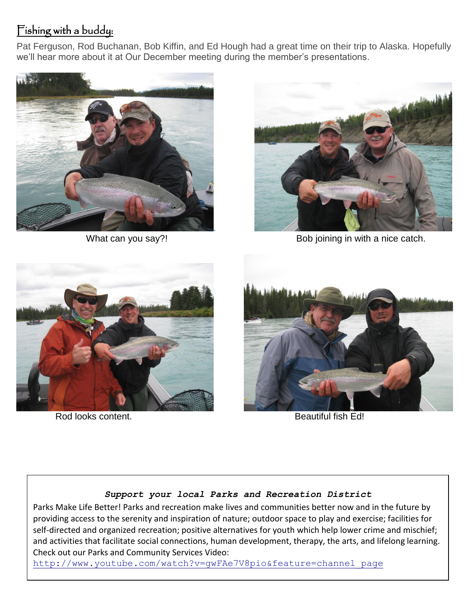# Fishing with a buddy:

Pat Ferguson, Rod Buchanan, Bob Kiffin, and Ed Hough had a great time on their trip to Alaska. Hopefully we'll hear more about it at Our December meeting during the member's presentations.





What can you say?! What can you say?!



Rod looks content. The according team of the Beautiful fish Ed!



#### *Support your local Parks and Recreation District*

Parks Make Life Better! Parks and recreation make lives and communities better now and in the future by providing access to the serenity and inspiration of nature; outdoor space to play and exercise; facilities for self-directed and organized recreation; positive alternatives for youth which help lower crime and mischief; and activities that facilitate social connections, human development, therapy, the arts, and lifelong learning. Check out our Parks and Community Services Video:

[http://www.youtube.com/watch?v=gwFAe7V8pio&feature=channel\\_page](http://www.youtube.com/watch?v=gwFAe7V8pio&feature=channel_page)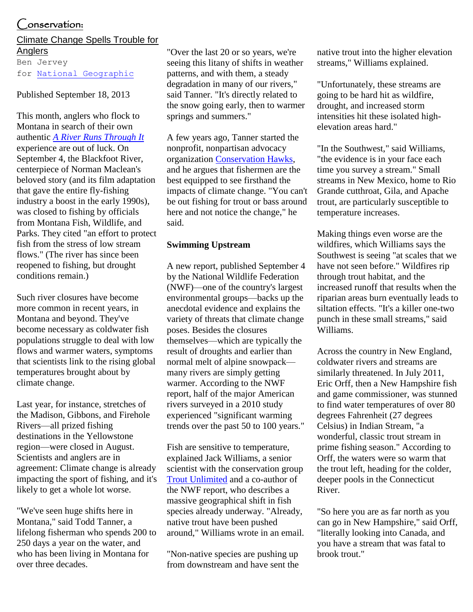#### $\Box$ onservation:

## Climate Change Spells Trouble for Anglers

Ben Jervey for [National Geographic](http://news.nationalgeographic.com/)

#### Published September 18, 2013

This month, anglers who flock to Montana in search of their own authentic *[A River Runs Through It](http://www.press.uchicago.edu/ucp/books/book/chicago/R/bo3643831.html)* experience are out of luck. On September 4, the Blackfoot River, centerpiece of Norman Maclean's beloved story (and its film adaptation that gave the entire fly-fishing industry a boost in the early 1990s), was closed to fishing by officials from [Montana Fish, Wildlife, and](http://fwp.mt.gov/news/newsReleases/drought/nr_0133.html)  [Parks.](http://fwp.mt.gov/news/newsReleases/drought/nr_0133.html) They cited "an effort to protect fish from the stress of low stream flows." (The river has since been [reopened to fishing,](http://missoulian.com/news/state-and-regional/fwp-lifts-fishing-closure-on-blackfoot-river-tributaries/article_83c70eee-1ff4-11e3-b2bd-0019bb2963f4.html) but drought conditions remain.)

Such river closures have become more common in recent years, in Montana and beyond. They've become necessary as coldwater fish populations struggle to deal with low flows and warmer waters, symptoms that scientists link to the rising global temperatures brought about by climate change.

Last year, for instance, stretches of the Madison, Gibbons, and Firehole Rivers—all prized fishing destinations in the Yellowstone region—were closed in August. Scientists and anglers are in agreement: Climate change is already impacting the sport of fishing, and it's likely to get a whole lot worse.

"We've seen huge shifts here in Montana," said Todd Tanner, a lifelong fisherman who spends 200 to 250 days a year on the water, and who has been living in Montana for over three decades.

"Over the last 20 or so years, we're seeing this litany of shifts in weather patterns, and with them, a steady degradation in many of our rivers," said Tanner. "It's directly related to the snow going early, then to warmer springs and summers."

A few years ago, Tanner started the nonprofit, nonpartisan advocacy organization [Conservation Hawks,](http://conservationhawks.org/) and he argues that fishermen are the best equipped to see firsthand the impacts of climate change. "You can't be out fishing for trout or bass around here and not notice the change," he said.

#### **Swimming Upstream**

A [new report,](https://www.nwf.org/News-and-Magazines/Media-Center/Reports/Archive/2013/09-04-13-Freshwater-Fish-Climate-Change-Report.aspx) published September 4 by the National Wildlife Federation (NWF)—one of the country's largest environmental groups—backs up the anecdotal evidence and explains the variety of threats that climate change poses. Besides the closures themselves—which are typically the result of droughts and earlier than normal melt of alpine snowpack many rivers are simply getting warmer. According to the NWF report, half of the major American rivers surveyed in a 2010 study experienced "significant warming trends over the past 50 to 100 years."

Fish are sensitive to temperature, explained Jack Williams, a senior scientist with the conservation group [Trout Unlimited](http://www.tu.org/) and a co-author of the NWF report, who describes a massive geographical shift in fish species already underway. "Already, native trout have been pushed around," Williams wrote in an email.

"Non-native species are pushing up from downstream and have sent the

native trout into the higher elevation streams," Williams explained.

"Unfortunately, these streams are going to be hard hit as wildfire, drought, and increased storm intensities hit these isolated highelevation areas hard."

"In the Southwest," said Williams, "the evidence is in your face each time you survey a stream." Small streams in New Mexico, home to Rio Grande cutthroat, Gila, and Apache trout, are particularly susceptible to temperature increases.

Making things even worse are the wildfires, which Williams says the Southwest is seeing "at scales that we have not seen before." Wildfires rip through trout habitat, and the increased runoff that results when the riparian areas burn eventually leads to siltation effects. "It's a killer one-two punch in these small streams," said Williams.

Across the country in New England, coldwater rivers and streams are similarly threatened. In July 2011, Eric Orff, then a New Hampshire fish and game commissioner, was stunned to find water temperatures of over 80 degrees Fahrenheit (27 degrees Celsius) in Indian Stream, "a wonderful, classic trout stream in prime fishing season." According to Orff, the waters were so warm that the trout left, heading for the colder, deeper pools in the Connecticut River.

"So here you are as far north as you can go in New Hampshire," said Orff, "literally looking into Canada, and you have a stream that was fatal to brook trout."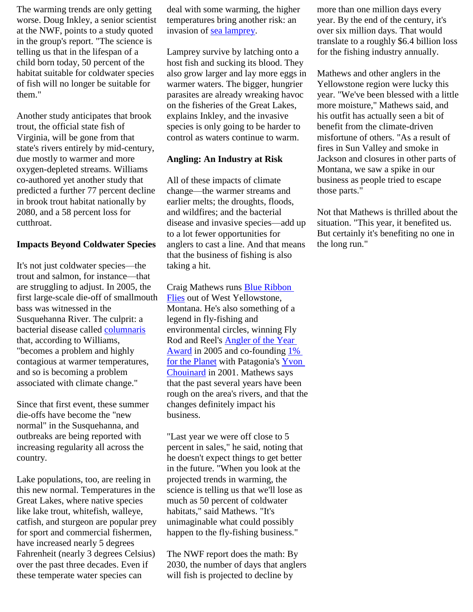The warming trends are only getting worse. [Doug Inkley,](https://www.nwf.org/News-and-Magazines/Media-Center/Faces-of-NWF/Doug-Inkley.aspx) a senior scientist at the NWF, points to a study quoted in the group's report. "The science is telling us that in the lifespan of a child born today, 50 percent of the habitat suitable for coldwater species of fish will no longer be suitable for them."

Another study anticipates that brook trout, the official state fish of Virginia, will be gone from that state's rivers entirely by mid-century, due mostly to warmer and more oxygen-depleted streams. Williams co-authored yet another study that predicted a further 77 percent decline in brook trout habitat nationally by 2080, and a 58 percent loss for cutthroat.

#### **Impacts Beyond Coldwater Species**

It's not just coldwater species—the trout and salmon, for instance—that are struggling to adjust. In 2005, the first large-scale die-off of smallmouth bass was witnessed in the Susquehanna River. The culprit: a bacterial disease called [columnaris](http://www.dnr.state.mn.us/areas/fisheries/eastmetro/columnaris.html) that, according to Williams, "becomes a problem and highly contagious at warmer temperatures, and so is becoming a problem associated with climate change."

Since that first event, these summer die-offs have become the "new normal" in the Susquehanna, and outbreaks are being reported with increasing regularity all across the country.

Lake populations, too, are reeling in this new normal. Temperatures in the Great Lakes, where native species like lake trout, whitefish, walleye, catfish, and sturgeon are popular prey for sport and commercial fishermen, have increased nearly 5 degrees Fahrenheit (nearly 3 degrees Celsius) over the past three decades. Even if these temperate water species can

deal with some warming, the higher temperatures bring another risk: an invasion of [sea lamprey.](http://newswatch.nationalgeographic.com/2009/01/31/lampreys_lured_into_sex_traps/)

Lamprey survive by latching onto a host fish and sucking its blood. They also grow larger and lay more eggs in warmer waters. The bigger, hungrier parasites are already wreaking havoc on the fisheries of the Great Lakes, explains Inkley, and the invasive species is only going to be harder to control as waters continue to warm.

#### **Angling: An Industry at Risk**

All of these impacts of climate change—the warmer streams and earlier melts; the droughts, floods, and wildfires; and the bacterial disease and invasive species—add up to a lot fewer opportunities for anglers to cast a line. And that means that the business of fishing is also taking a hit.

Craig Mathews runs **Blue Ribbon** [Flies](http://www.blue-ribbon-flies.com/) out of West Yellowstone, Montana. He's also something of a legend in fly-fishing and environmental circles, winning Fly Rod and Reel's [Angler of the Year](http://www.flyrodreel.com/magazine/2005/january/craig-matthews)  [Award](http://www.flyrodreel.com/magazine/2005/january/craig-matthews) in 2005 and co-founding  $1\%$ [for the Planet](http://onepercentfortheplanet.org/) with Patagonia's [Yvon](http://www.patagonia.com/us/patagonia.go?assetid=3351)  [Chouinard](http://www.patagonia.com/us/patagonia.go?assetid=3351) in 2001. Mathews says that the past several years have been rough on the area's rivers, and that the changes definitely impact his business.

"Last year we were off close to 5 percent in sales," he said, noting that he doesn't expect things to get better in the future. "When you look at the projected trends in warming, the science is telling us that we'll lose as much as 50 percent of coldwater habitats," said Mathews. "It's unimaginable what could possibly happen to the fly-fishing business."

The NWF report does the math: By 2030, the number of days that anglers will fish is projected to decline by

more than one million days every year. By the end of the century, it's over six million days. That would translate to a roughly \$6.4 billion loss for the fishing industry annually.

Mathews and other anglers in the Yellowstone region were lucky this year. "We've been blessed with a little more moisture," Mathews said, and his outfit has actually seen a bit of benefit from the climate-driven misfortune of others. "As a result of fires in Sun Valley and smoke in Jackson and closures in other parts of Montana, we saw a spike in our business as people tried to escape those parts."

Not that Mathews is thrilled about the situation. "This year, it benefited us. But certainly it's benefiting no one in the long run."